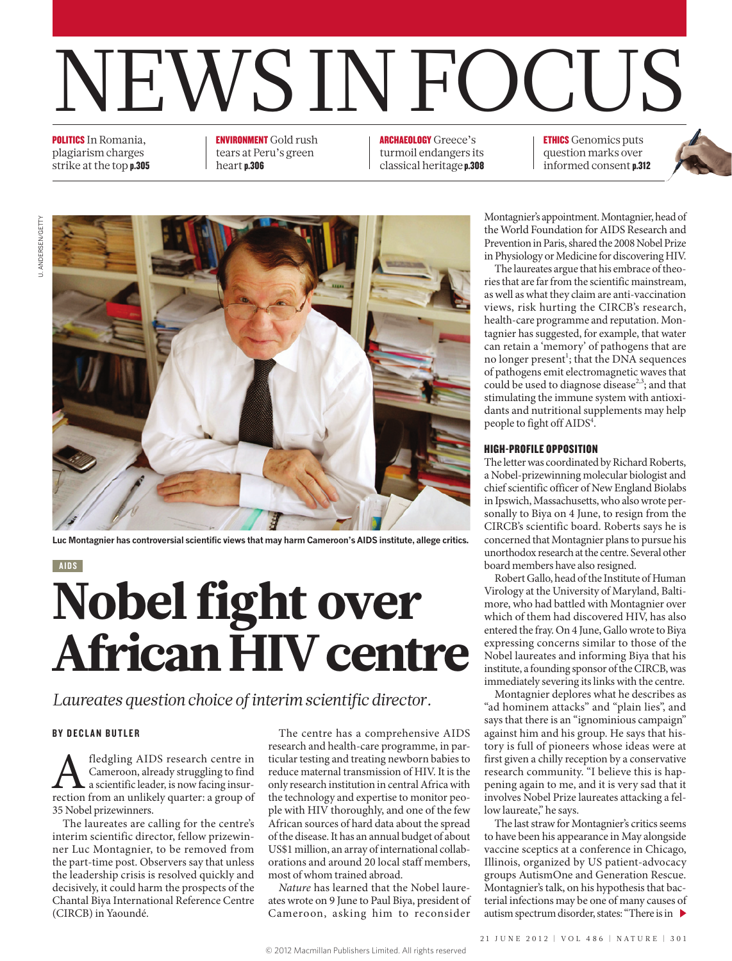# NEWS IN FOCUS

POLITICS In Romania, plagiarism charges strike at the top p.305

#### ENVIRONMENT Gold rush tears at Peru's green heart p.306

ARCHAEOLOGY Greece's turmoil endangers its classical heritage p.308 ETHICS Genomics puts question marks over informed consent p.312



**Luc Montagnier has controversial scientific views that may harm Cameroon's AIDS institute, allege critics.**

AIDS

## Nobel fight over African HIV centre

*Laureates question choice of interim scientific director.*

#### BY DECLAN BUTLER

A fledgling AIDS research centre in Cameroon, already struggling to find a scientific leader, is now facing insurrection from an unlikely quarter: a group of Cameroon, already struggling to find a scientific leader, is now facing insur-35 Nobel prizewinners.

The laureates are calling for the centre's interim scientific director, fellow prizewinner Luc Montagnier, to be removed from the part-time post. Observers say that unless the leadership crisis is resolved quickly and decisively, it could harm the prospects of the Chantal Biya International Reference Centre (CIRCB) in Yaoundé.

The centre has a comprehensive AIDS research and health-care programme, in particular testing and treating newborn babies to reduce maternal transmission of HIV. It is the only research institution in central Africa with the technology and expertise to monitor people with HIV thoroughly, and one of the few African sources of hard data about the spread of the disease. It has an annual budget of about US\$1 million, an array of international collaborations and around 20 local staff members, most of whom trained abroad.

*Nature* has learned that the Nobel laureates wrote on 9 June to Paul Biya, president of Cameroon, asking him to reconsider

Montagnier's appointment. Montagnier, head of the World Foundation for AIDS Research and Prevention in Paris, shared the 2008 Nobel Prize in Physiology or Medicine for discovering HIV.

The laureates argue that his embrace of theories that are far from the scientific mainstream, as well as what they claim are anti-vaccination views, risk hurting the CIRCB's research, health-care programme and reputation. Montagnier has suggested, for example, that water can retain a 'memory' of pathogens that are no longer present<sup>1</sup>; that the DNA sequences of pathogens emit electromagnetic waves that could be used to diagnose disease<sup>2,3</sup>; and that stimulating the immune system with antioxidants and nutritional supplements may help people to fight off AIDS<sup>4</sup>.

#### HIGH-PROFILE OPPOSITION

The letter was coordinated by Richard Roberts, a Nobel-prizewinning molecular biologist and chief scientific officer of New England Biolabs in Ipswich, Massachusetts, who also wrote personally to Biya on 4 June, to resign from the CIRCB's scientific board. Roberts says he is concerned that Montagnier plans to pursue his unorthodox research at the centre. Several other board members have also resigned.

Robert Gallo, head of the Institute of Human Virology at the University of Maryland, Baltimore, who had battled with Montagnier over which of them had discovered HIV, has also entered the fray. On 4 June, Gallo wrote to Biya expressing concerns similar to those of the Nobel laureates and informing Biya that his institute, a founding sponsor of the CIRCB, was immediately severing its links with the centre.

Montagnier deplores what he describes as "ad hominem attacks" and "plain lies", and says that there is an "ignominious campaign" against him and his group. He says that history is full of pioneers whose ideas were at first given a chilly reception by a conservative research community. "I believe this is happening again to me, and it is very sad that it involves Nobel Prize laureates attacking a fellow laureate," he says.

The last straw for Montagnier's critics seems to have been his appearance in May alongside vaccine sceptics at a conference in Chicago, Illinois, organized by US patient-advocacy groups AutismOne and Generation Rescue. Montagnier's talk, on his hypothesis that bacterial infections may be one of many causes of autism spectrum disorder, states: "There is in